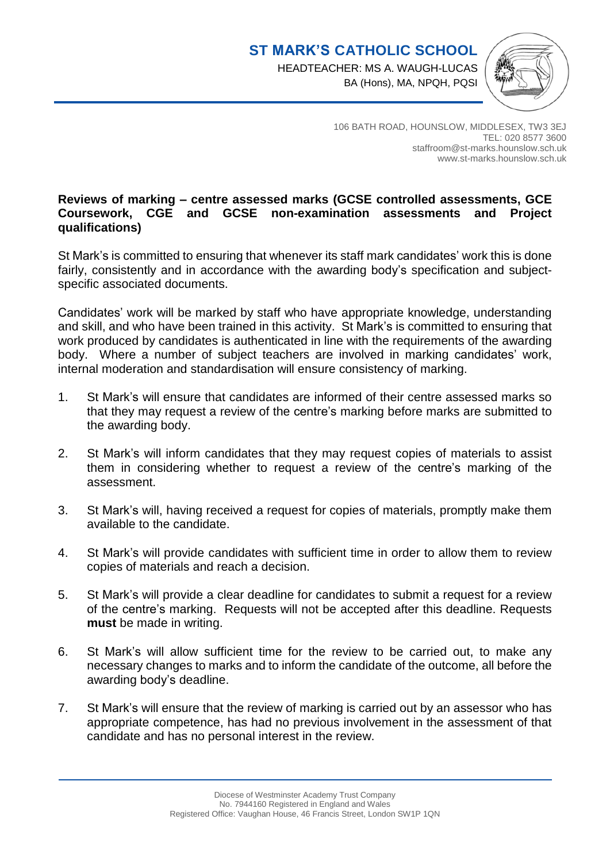

106 BATH ROAD, HOUNSLOW, MIDDLESEX, TW3 3EJ TEL: 020 8577 3600 staffroom@st-marks.hounslow.sch.uk www.st-marks.hounslow.sch.uk

## **Reviews of marking – centre assessed marks (GCSE controlled assessments, GCE Coursework, CGE and GCSE non-examination assessments and Project qualifications)**

St Mark's is committed to ensuring that whenever its staff mark candidates' work this is done fairly, consistently and in accordance with the awarding body's specification and subjectspecific associated documents.

Candidates' work will be marked by staff who have appropriate knowledge, understanding and skill, and who have been trained in this activity. St Mark's is committed to ensuring that work produced by candidates is authenticated in line with the requirements of the awarding body. Where a number of subject teachers are involved in marking candidates' work, internal moderation and standardisation will ensure consistency of marking.

- 1. St Mark's will ensure that candidates are informed of their centre assessed marks so that they may request a review of the centre's marking before marks are submitted to the awarding body.
- 2. St Mark's will inform candidates that they may request copies of materials to assist them in considering whether to request a review of the centre's marking of the assessment.
- 3. St Mark's will, having received a request for copies of materials, promptly make them available to the candidate.
- 4. St Mark's will provide candidates with sufficient time in order to allow them to review copies of materials and reach a decision.
- 5. St Mark's will provide a clear deadline for candidates to submit a request for a review of the centre's marking. Requests will not be accepted after this deadline. Requests **must** be made in writing.
- 6. St Mark's will allow sufficient time for the review to be carried out, to make any necessary changes to marks and to inform the candidate of the outcome, all before the awarding body's deadline.
- 7. St Mark's will ensure that the review of marking is carried out by an assessor who has appropriate competence, has had no previous involvement in the assessment of that candidate and has no personal interest in the review.